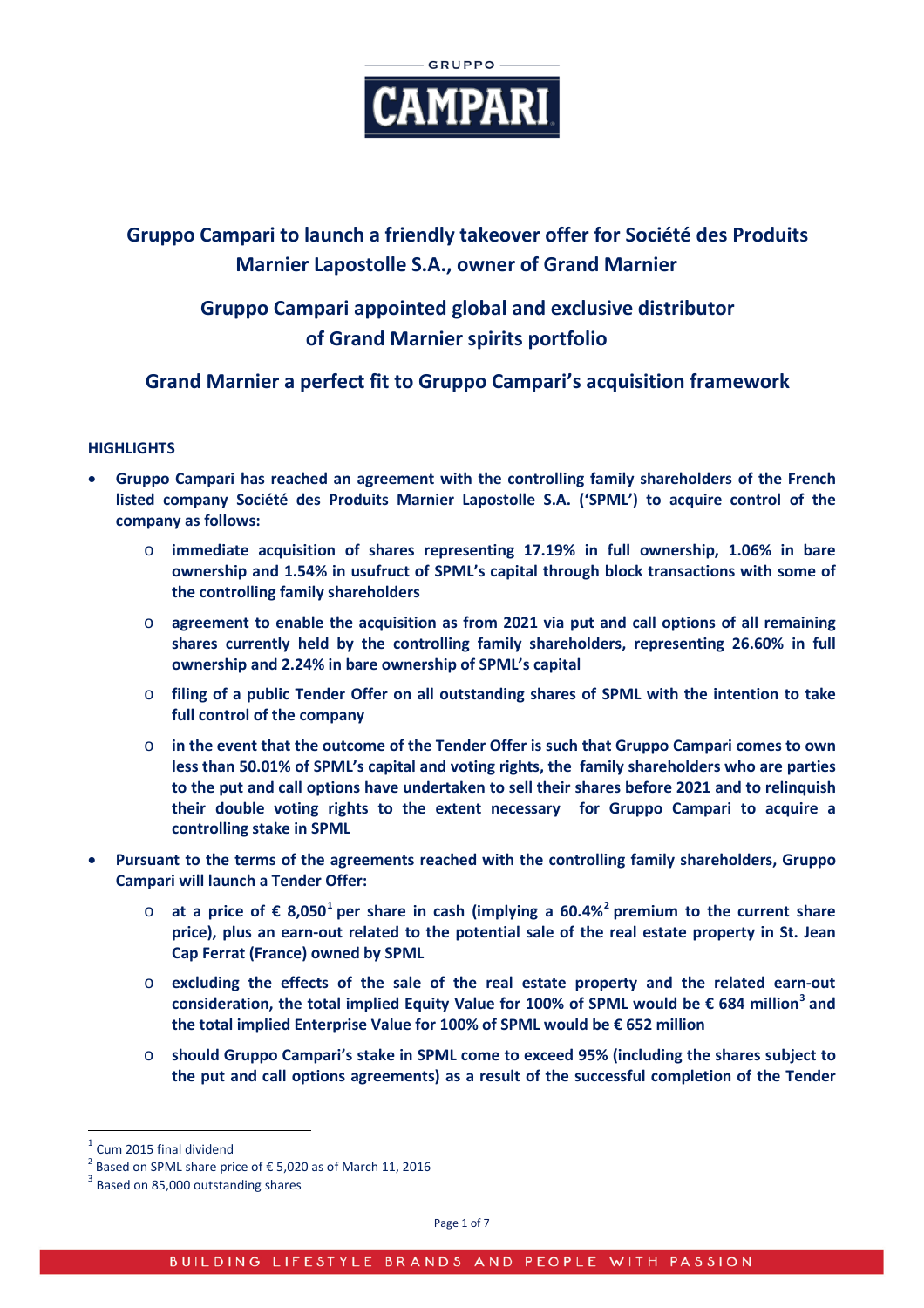

# **Gruppo Campari to launch a friendly takeover offer for Société des Produits Marnier Lapostolle S.A., owner of Grand Marnier**

# **Gruppo Campari appointed global and exclusive distributor of Grand Marnier spirits portfolio**

# **Grand Marnier a perfect fit to Gruppo Campari's acquisition framework**

# **HIGHLIGHTS**

- **Gruppo Campari has reached an agreement with the controlling family shareholders of the French listed company Société des Produits Marnier Lapostolle S.A. ('SPML') to acquire control of the company as follows:**
	- o **immediate acquisition of shares representing 17.19% in full ownership, 1.06% in bare ownership and 1.54% in usufruct of SPML's capital through block transactions with some of the controlling family shareholders**
	- o **agreement to enable the acquisition as from 2021 via put and call options of all remaining shares currently held by the controlling family shareholders, representing 26.60% in full ownership and 2.24% in bare ownership of SPML's capital**
	- o **filing of a public Tender Offer on all outstanding shares of SPML with the intention to take full control of the company**
	- o **in the event that the outcome of the Tender Offer is such that Gruppo Campari comes to own less than 50.01% of SPML's capital and voting rights, the family shareholders who are parties to the put and call options have undertaken to sell their shares before 2021 and to relinquish their double voting rights to the extent necessary for Gruppo Campari to acquire a controlling stake in SPML**
- **Pursuant to the terms of the agreements reached with the controlling family shareholders, Gruppo Campari will launch a Tender Offer:**
	- o **at a price of € 8,050[1](#page-0-0) per share in cash (implying a 60.4%[2](#page-0-1) premium to the current share price), plus an earn-out related to the potential sale of the real estate property in St. Jean Cap Ferrat (France) owned by SPML**
	- o **excluding the effects of the sale of the real estate property and the related earn-out consideration, the total implied Equity Value for 100% of SPML would be € 684 million[3](#page-0-2) and the total implied Enterprise Value for 100% of SPML would be € 652 million**
	- o **should Gruppo Campari's stake in SPML come to exceed 95% (including the shares subject to the put and call options agreements) as a result of the successful completion of the Tender**

<span id="page-0-1"></span><span id="page-0-0"></span><sup>&</sup>lt;sup>1</sup> Cum 2015 final dividend<br>
<sup>2</sup> Based on SPML share price of € 5,020 as of March 11, 2016<br>
<sup>3</sup> Based on 85,000 outstanding shares

<span id="page-0-2"></span>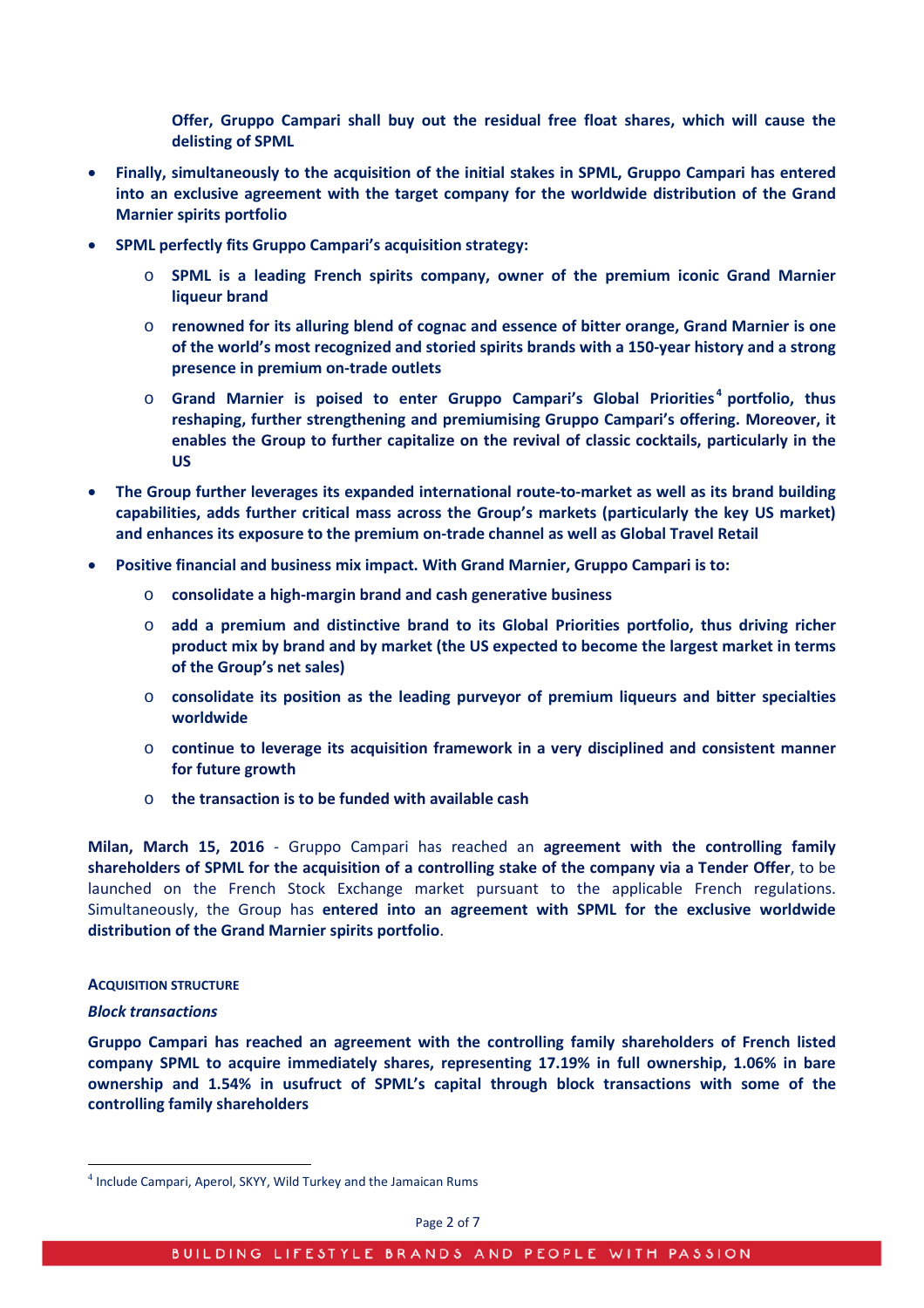**Offer, Gruppo Campari shall buy out the residual free float shares, which will cause the delisting of SPML**

- **Finally, simultaneously to the acquisition of the initial stakes in SPML, Gruppo Campari has entered into an exclusive agreement with the target company for the worldwide distribution of the Grand Marnier spirits portfolio**
- **SPML perfectly fits Gruppo Campari's acquisition strategy:**
	- o **SPML is a leading French spirits company, owner of the premium iconic Grand Marnier liqueur brand**
	- o **renowned for its alluring blend of cognac and essence of bitter orange, Grand Marnier is one of the world's most recognized and storied spirits brands with a 150-year history and a strong presence in premium on-trade outlets**
	- o **Grand Marnier is poised to enter Gruppo Campari's Global Priorities [4](#page-1-0) portfolio, thus reshaping, further strengthening and premiumising Gruppo Campari's offering. Moreover, it enables the Group to further capitalize on the revival of classic cocktails, particularly in the US**
- **The Group further leverages its expanded international route-to-market as well as its brand building capabilities, adds further critical mass across the Group's markets (particularly the key US market) and enhances its exposure to the premium on-trade channel as well as Global Travel Retail**
- **Positive financial and business mix impact. With Grand Marnier, Gruppo Campari is to:**
	- o **consolidate a high-margin brand and cash generative business**
	- o **add a premium and distinctive brand to its Global Priorities portfolio, thus driving richer product mix by brand and by market (the US expected to become the largest market in terms of the Group's net sales)**
	- o **consolidate its position as the leading purveyor of premium liqueurs and bitter specialties worldwide**
	- o **continue to leverage its acquisition framework in a very disciplined and consistent manner for future growth**
	- o **the transaction is to be funded with available cash**

**Milan, March 15, 2016** - Gruppo Campari has reached an **agreement with the controlling family shareholders of SPML for the acquisition of a controlling stake of the company via a Tender Offer**, to be launched on the French Stock Exchange market pursuant to the applicable French regulations. Simultaneously, the Group has **entered into an agreement with SPML for the exclusive worldwide distribution of the Grand Marnier spirits portfolio**.

## **ACQUISITION STRUCTURE**

## *Block transactions*

**Gruppo Campari has reached an agreement with the controlling family shareholders of French listed company SPML to acquire immediately shares, representing 17.19% in full ownership, 1.06% in bare ownership and 1.54% in usufruct of SPML's capital through block transactions with some of the controlling family shareholders**

<span id="page-1-0"></span><sup>4</sup> Include Campari, Aperol, SKYY, Wild Turkey and the Jamaican Rums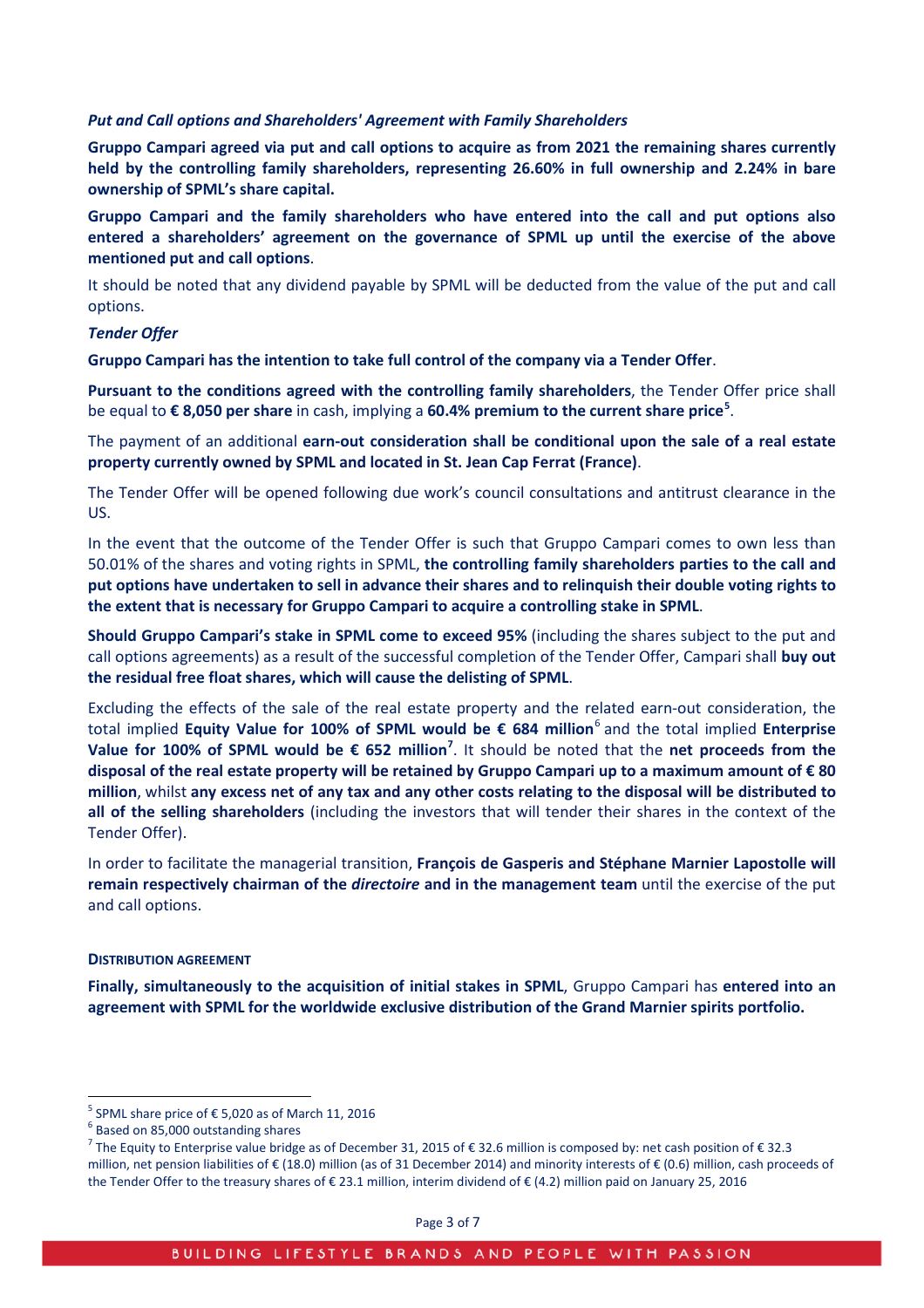#### *Put and Call options and Shareholders' Agreement with Family Shareholders*

**Gruppo Campari agreed via put and call options to acquire as from 2021 the remaining shares currently held by the controlling family shareholders, representing 26.60% in full ownership and 2.24% in bare ownership of SPML's share capital.**

**Gruppo Campari and the family shareholders who have entered into the call and put options also entered a shareholders' agreement on the governance of SPML up until the exercise of the above mentioned put and call options**.

It should be noted that any dividend payable by SPML will be deducted from the value of the put and call options.

# *Tender Offer*

**Gruppo Campari has the intention to take full control of the company via a Tender Offer**.

**Pursuant to the conditions agreed with the controlling family shareholders**, the Tender Offer price shall be equal to **€ 8,050 per share** in cash, implying a **60.4% premium to the current share price[5](#page-2-0)** .

The payment of an additional **earn-out consideration shall be conditional upon the sale of a real estate property currently owned by SPML and located in St. Jean Cap Ferrat (France)**.

The Tender Offer will be opened following due work's council consultations and antitrust clearance in the US.

In the event that the outcome of the Tender Offer is such that Gruppo Campari comes to own less than 50.01% of the shares and voting rights in SPML, **the controlling family shareholders parties to the call and put options have undertaken to sell in advance their shares and to relinquish their double voting rights to the extent that is necessary for Gruppo Campari to acquire a controlling stake in SPML**.

**Should Gruppo Campari's stake in SPML come to exceed 95%** (including the shares subject to the put and call options agreements) as a result of the successful completion of the Tender Offer, Campari shall **buy out the residual free float shares, which will cause the delisting of SPML**.

Excluding the effects of the sale of the real estate property and the related earn-out consideration, the total implied **Equity Value for 100% of SPML would be € 684 million**[6](#page-2-1) and the total implied **Enterprise Value for 100% of SPML would be € 652 million[7](#page-2-2)** . It should be noted that the **net proceeds from the disposal of the real estate property will be retained by Gruppo Campari up to a maximum amount of € 80 million**, whilst **any excess net of any tax and any other costs relating to the disposal will be distributed to all of the selling shareholders** (including the investors that will tender their shares in the context of the Tender Offer).

In order to facilitate the managerial transition, **François de Gasperis and Stéphane Marnier Lapostolle will remain respectively chairman of the** *directoire* **and in the management team** until the exercise of the put and call options.

#### **DISTRIBUTION AGREEMENT**

**Finally, simultaneously to the acquisition of initial stakes in SPML**, Gruppo Campari has **entered into an agreement with SPML for the worldwide exclusive distribution of the Grand Marnier spirits portfolio.**

<span id="page-2-0"></span><sup>&</sup>lt;sup>5</sup> SPML share price of € 5,020 as of March 11, 2016<br> $^{6}$  Based on 85,000 outstanding shares

<span id="page-2-2"></span><span id="page-2-1"></span><sup>&</sup>lt;sup>7</sup> The Equity to Enterprise value bridge as of December 31, 2015 of € 32.6 million is composed by: net cash position of € 32.3 million, net pension liabilities of € (18.0) million (as of 31 December 2014) and minority interests of € (0.6) million, cash proceeds of the Tender Offer to the treasury shares of € 23.1 million, interim dividend of € (4.2) million paid on January 25, 2016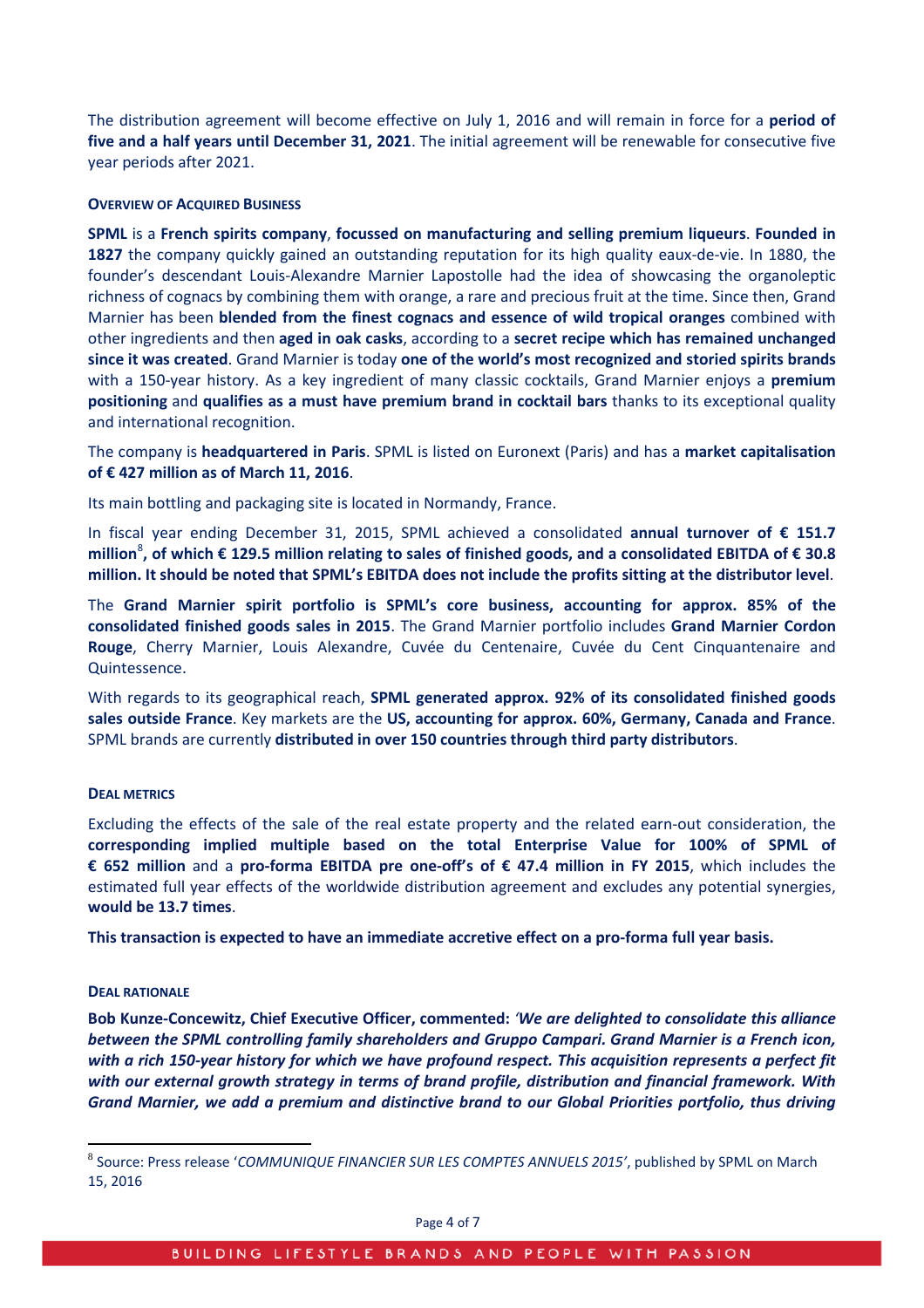The distribution agreement will become effective on July 1, 2016 and will remain in force for a **period of five and a half years until December 31, 2021**. The initial agreement will be renewable for consecutive five year periods after 2021.

# **OVERVIEW OF ACQUIRED BUSINESS**

**SPML** is a **French spirits company**, **focussed on manufacturing and selling premium liqueurs**. **Founded in 1827** the company quickly gained an outstanding reputation for its high quality eaux-de-vie. In 1880, the founder's descendant Louis-Alexandre Marnier Lapostolle had the idea of showcasing the organoleptic richness of cognacs by combining them with orange, a rare and precious fruit at the time. Since then, Grand Marnier has been **blended from the finest cognacs and essence of wild tropical oranges** combined with other ingredients and then **aged in oak casks**, according to a **secret recipe which has remained unchanged since it was created**. Grand Marnier is today **one of the world's most recognized and storied spirits brands** with a 150-year history. As a key ingredient of many classic cocktails, Grand Marnier enjoys a **premium positioning** and **qualifies as a must have premium brand in cocktail bars** thanks to its exceptional quality and international recognition.

The company is **headquartered in Paris**. SPML is listed on Euronext (Paris) and has a **market capitalisation of € 427 million as of March 11, 2016**.

Its main bottling and packaging site is located in Normandy, France.

In fiscal year ending December 31, 2015, SPML achieved a consolidated **annual turnover of € 151.7 million**[8](#page-3-0) **, of which € 129.5 million relating to sales of finished goods, and a consolidated EBITDA of € 30.8 million. It should be noted that SPML's EBITDA does not include the profits sitting at the distributor level**.

The **Grand Marnier spirit portfolio is SPML's core business, accounting for approx. 85% of the consolidated finished goods sales in 2015**. The Grand Marnier portfolio includes **Grand Marnier Cordon Rouge**, Cherry Marnier, Louis Alexandre, Cuvée du Centenaire, Cuvée du Cent Cinquantenaire and Quintessence.

With regards to its geographical reach, **SPML generated approx. 92% of its consolidated finished goods sales outside France**. Key markets are the **US, accounting for approx. 60%, Germany, Canada and France**. SPML brands are currently **distributed in over 150 countries through third party distributors**.

## **DEAL METRICS**

Excluding the effects of the sale of the real estate property and the related earn-out consideration, the **corresponding implied multiple based on the total Enterprise Value for 100% of SPML of € 652 million** and a **pro-forma EBITDA pre one-off's of € 47.4 million in FY 2015**, which includes the estimated full year effects of the worldwide distribution agreement and excludes any potential synergies, **would be 13.7 times**.

**This transaction is expected to have an immediate accretive effect on a pro-forma full year basis.**

## **DEAL RATIONALE**

**Bob Kunze-Concewitz, Chief Executive Officer, commented:** *'We are delighted to consolidate this alliance between the SPML controlling family shareholders and Gruppo Campari. Grand Marnier is a French icon, with a rich 150-year history for which we have profound respect. This acquisition represents a perfect fit with our external growth strategy in terms of brand profile, distribution and financial framework. With Grand Marnier, we add a premium and distinctive brand to our Global Priorities portfolio, thus driving* 

<span id="page-3-0"></span><sup>8</sup> Source: Press release '*COMMUNIQUE FINANCIER SUR LES COMPTES ANNUELS 2015'*, published by SPML on March 15, 2016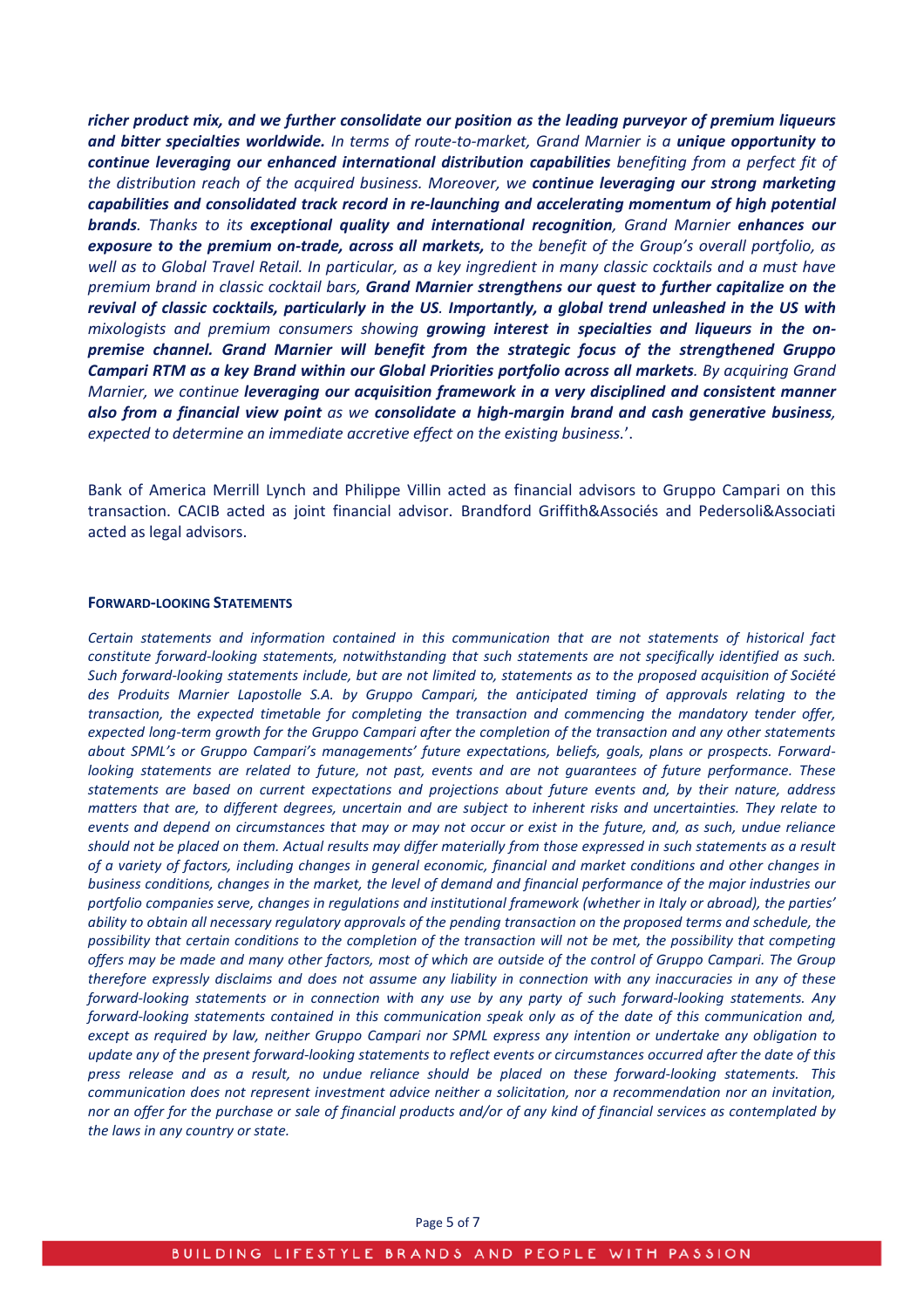*richer product mix, and we further consolidate our position as the leading purveyor of premium liqueurs and bitter specialties worldwide. In terms of route-to-market, Grand Marnier is a unique opportunity to continue leveraging our enhanced international distribution capabilities benefiting from a perfect fit of the distribution reach of the acquired business. Moreover, we continue leveraging our strong marketing capabilities and consolidated track record in re-launching and accelerating momentum of high potential brands. Thanks to its exceptional quality and international recognition, Grand Marnier enhances our exposure to the premium on-trade, across all markets, to the benefit of the Group's overall portfolio, as well as to Global Travel Retail. In particular, as a key ingredient in many classic cocktails and a must have premium brand in classic cocktail bars, Grand Marnier strengthens our quest to further capitalize on the revival of classic cocktails, particularly in the US. Importantly, a global trend unleashed in the US with mixologists and premium consumers showing growing interest in specialties and liqueurs in the onpremise channel. Grand Marnier will benefit from the strategic focus of the strengthened Gruppo Campari RTM as a key Brand within our Global Priorities portfolio across all markets. By acquiring Grand Marnier, we continue leveraging our acquisition framework in a very disciplined and consistent manner also from a financial view point as we consolidate a high-margin brand and cash generative business, expected to determine an immediate accretive effect on the existing business.*'.

Bank of America Merrill Lynch and Philippe Villin acted as financial advisors to Gruppo Campari on this transaction. CACIB acted as joint financial advisor. Brandford Griffith&Associés and Pedersoli&Associati acted as legal advisors.

#### **FORWARD-LOOKING STATEMENTS**

*Certain statements and information contained in this communication that are not statements of historical fact constitute forward-looking statements, notwithstanding that such statements are not specifically identified as such. Such forward-looking statements include, but are not limited to, statements as to the proposed acquisition of Société des Produits Marnier Lapostolle S.A. by Gruppo Campari, the anticipated timing of approvals relating to the transaction, the expected timetable for completing the transaction and commencing the mandatory tender offer, expected long-term growth for the Gruppo Campari after the completion of the transaction and any other statements about SPML's or Gruppo Campari's managements' future expectations, beliefs, goals, plans or prospects. Forwardlooking statements are related to future, not past, events and are not guarantees of future performance. These statements are based on current expectations and projections about future events and, by their nature, address matters that are, to different degrees, uncertain and are subject to inherent risks and uncertainties. They relate to events and depend on circumstances that may or may not occur or exist in the future, and, as such, undue reliance should not be placed on them. Actual results may differ materially from those expressed in such statements as a result of a variety of factors, including changes in general economic, financial and market conditions and other changes in business conditions, changes in the market, the level of demand and financial performance of the major industries our portfolio companies serve, changes in regulations and institutional framework (whether in Italy or abroad), the parties' ability to obtain all necessary regulatory approvals of the pending transaction on the proposed terms and schedule, the possibility that certain conditions to the completion of the transaction will not be met, the possibility that competing offers may be made and many other factors, most of which are outside of the control of Gruppo Campari. The Group therefore expressly disclaims and does not assume any liability in connection with any inaccuracies in any of these forward-looking statements or in connection with any use by any party of such forward-looking statements. Any forward-looking statements contained in this communication speak only as of the date of this communication and, except as required by law, neither Gruppo Campari nor SPML express any intention or undertake any obligation to update any of the present forward-looking statements to reflect events or circumstances occurred after the date of this press release and as a result, no undue reliance should be placed on these forward-looking statements. This communication does not represent investment advice neither a solicitation, nor a recommendation nor an invitation, nor an offer for the purchase or sale of financial products and/or of any kind of financial services as contemplated by the laws in any country or state.*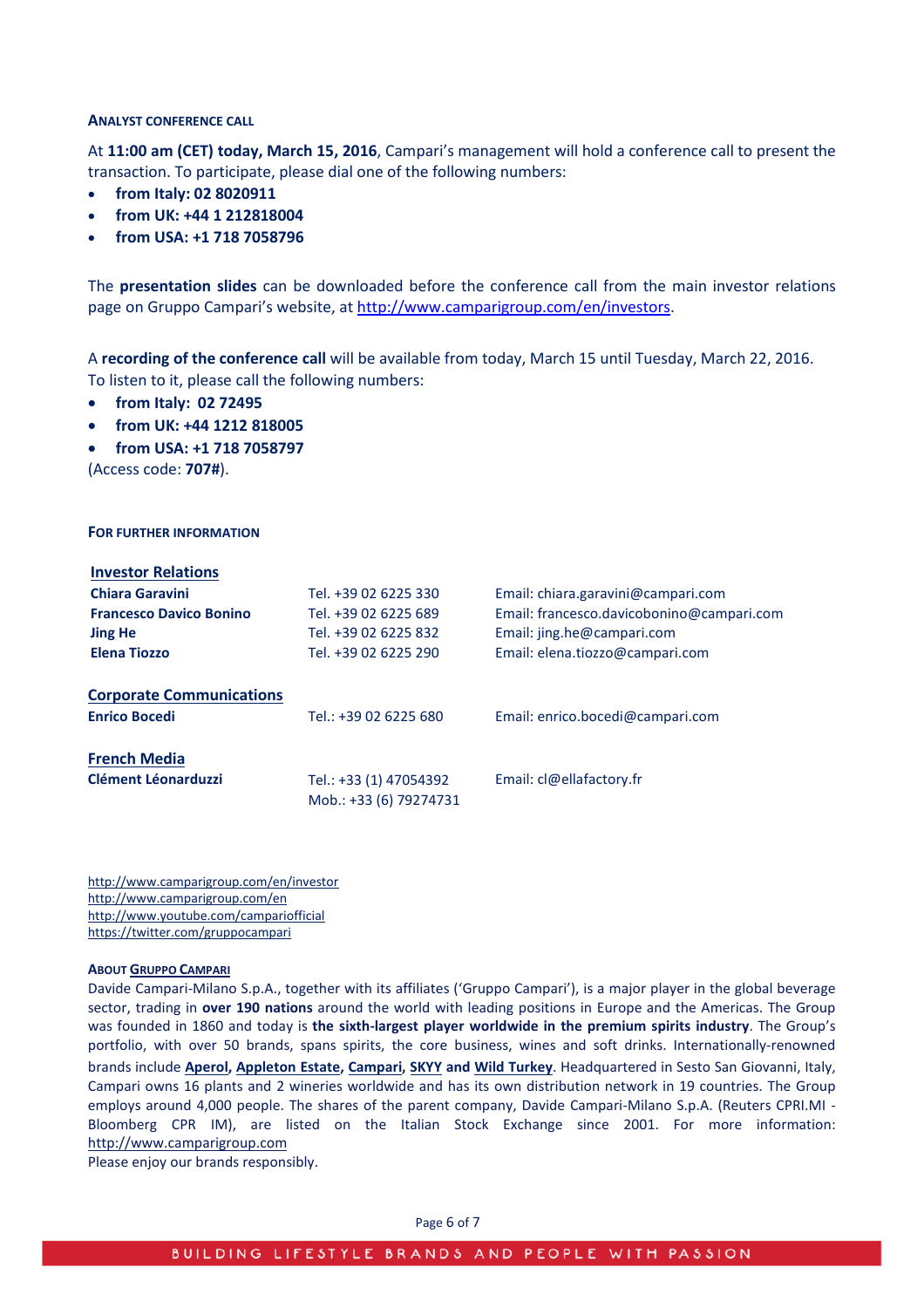#### **ANALYST CONFERENCE CALL**

At **11:00 am (CET) today, March 15, 2016**, Campari's management will hold a conference call to present the transaction. To participate, please dial one of the following numbers:

- **from Italy: 02 8020911**
- **from UK: +44 1 212818004**
- **from USA: +1 718 7058796**

The **presentation slides** can be downloaded before the conference call from the main investor relations page on Gruppo Campari's website, at [http://www.camparigroup.com/en/investors.](http://www.camparigroup.com/en/investors)

A **recording of the conference call** will be available from today, March 15 until Tuesday, March 22, 2016. To listen to it, please call the following numbers:

- **from Italy: 02 72495**
- **from UK: +44 1212 818005**
- **from USA: +1 718 7058797**

(Access code: **707#**).

#### **FOR FURTHER INFORMATION**

| <b>Investor Relations</b>                               |                                                  |                                           |
|---------------------------------------------------------|--------------------------------------------------|-------------------------------------------|
| <b>Chiara Garavini</b>                                  | Tel. +39 02 6225 330                             | Email: chiara.garavini@campari.com        |
| <b>Francesco Davico Bonino</b>                          | Tel. +39 02 6225 689                             | Email: francesco.davicobonino@campari.com |
| <b>Jing He</b>                                          | Tel. +39 02 6225 832                             | Email: jing.he@campari.com                |
| <b>Elena Tiozzo</b>                                     | Tel. +39 02 6225 290                             | Email: elena.tiozzo@campari.com           |
| <b>Corporate Communications</b><br><b>Enrico Bocedi</b> | Tel.: +39 02 6225 680                            | Email: enrico.bocedi@campari.com          |
| <b>French Media</b>                                     |                                                  |                                           |
| <b>Clément Léonarduzzi</b>                              | Tel.: +33 (1) 47054392<br>Mob.: +33 (6) 79274731 | Email: cl@ellafactory.fr                  |

http://www.camparigroup.com/en/investor http://www.camparigroup.com/en http://www.youtube.com/campariofficial https://twitter.com/gruppocampari

#### **ABOU[T GRUPPO CAMPARI](http://www.camparigroup.com/en/index.shtml)**

Davide Campari-Milano S.p.A., together with its affiliates ('Gruppo Campari'), is a major player in the global beverage sector, trading in **over 190 nations** around the world with leading positions in Europe and the Americas. The Group was founded in 1860 and today is **the sixth-largest player worldwide in the premium spirits industry**. The Group's portfolio, with over 50 brands, spans spirits, the core business, wines and soft drinks. Internationally-renowned brands include **[Aperol,](http://www.aperol.com/?http%3A//www.aperol.com/) [Appleton Estate,](http://www.appletonestate.com/) [Campari](http://www.campari.com/)**, **[SKYY](http://www.skyy.com/) and [Wild Turkey](http://www.wildturkeybourbon.com.au/)**. Headquartered in Sesto San Giovanni, Italy, Campari owns 16 plants and 2 wineries worldwide and has its own distribution network in 19 countries. The Group employs around 4,000 people. The shares of the parent company, Davide Campari-Milano S.p.A. (Reuters CPRI.MI - Bloomberg CPR IM), are listed on the Italian Stock Exchange since 2001. For more information: [http://www.camparigroup.com](http://www.camparigroup.com/)

Please enjoy our brands responsibly.